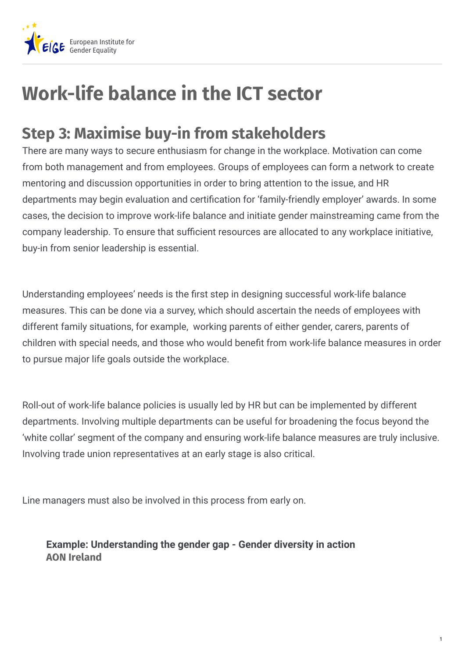

## **Work-life balance in the ICT sector**

## **Step 3: Maximise buy-in from stakeholders**

There are many ways to secure enthusiasm for change in the workplace. Motivation can come from both management and from employees. Groups of employees can form a network to create mentoring and discussion opportunities in order to bring attention to the issue, and HR departments may begin evaluation and certification for 'family-friendly employer' awards. In some cases, the decision to improve work-life balance and initiate gender mainstreaming came from the company leadership. To ensure that sufficient resources are allocated to any workplace initiative, buy-in from senior leadership is essential.

Understanding employees' needs is the first step in designing successful work-life balance measures. This can be done via a survey, which should ascertain the needs of employees with different family situations, for example, working parents of either gender, carers, parents of children with special needs, and those who would benefit from work-life balance measures in order to pursue major life goals outside the workplace.

Roll-out of work-life balance policies is usually led by HR but can be implemented by different departments. Involving multiple departments can be useful for broadening the focus beyond the 'white collar' segment of the company and ensuring work-life balance measures are truly inclusive. Involving trade union representatives at an early stage is also critical.

Line managers must also be involved in this process from early on.

## **AON Ireland Example: Understanding the gender gap - Gender diversity in action**